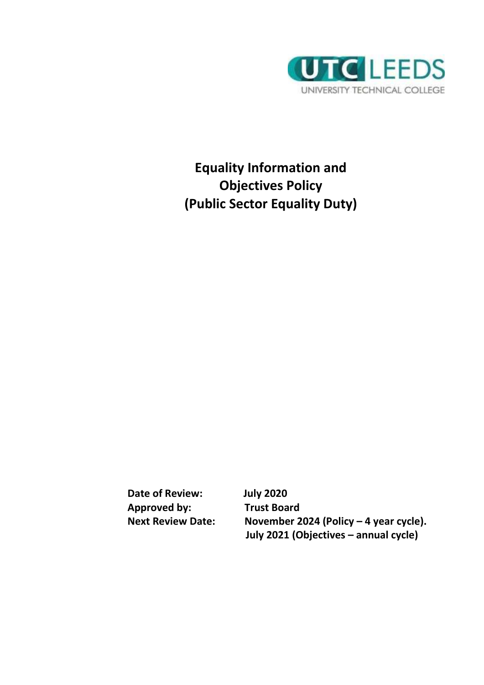

**Equality Information and Objectives Policy (Public Sector Equality Duty)**

**Date of Review: July 2020 Approved by: Trust Board**

**Next Review Date: November 2024 (Policy – 4 year cycle). July 2021 (Objectives – annual cycle)**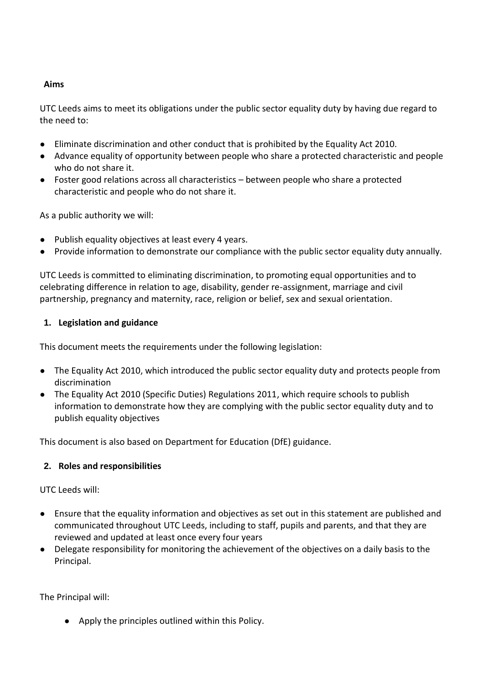#### **Aims**

UTC Leeds aims to meet its obligations under the public sector equality duty by having due regard to the need to:

- Eliminate discrimination and other conduct that is prohibited by the Equality Act 2010.
- Advance equality of opportunity between people who share a protected characteristic and people who do not share it.
- Foster good relations across all characteristics between people who share a protected characteristic and people who do not share it.

As a public authority we will:

- Publish equality objectives at least every 4 years.
- Provide information to demonstrate our compliance with the public sector equality duty annually.

UTC Leeds is committed to eliminating discrimination, to promoting equal opportunities and to celebrating difference in relation to age, disability, gender re-assignment, marriage and civil partnership, pregnancy and maternity, race, religion or belief, sex and sexual orientation.

#### **1. Legislation and guidance**

This document meets the requirements under the following legislation:

- [The Equality Act 2010,](http://www.legislation.gov.uk/ukpga/2010/15/contents) which introduced the public sector equality duty and protects people from discrimination
- [The Equality Act 2010 \(Specific Duties\) Regulations 2011,](http://www.legislation.gov.uk/uksi/2011/2260/contents/made) which require schools to publish information to demonstrate how they are complying with the public sector equality duty and to publish equality objectives

This document is also based on Department for Education (DfE) guidance.

#### **2. Roles and responsibilities**

UTC Leeds will:

- Ensure that the equality information and objectives as set out in this statement are published and communicated throughout UTC Leeds, including to staff, pupils and parents, and that they are reviewed and updated at least once every four years
- Delegate responsibility for monitoring the achievement of the objectives on a daily basis to the Principal.

The Principal will:

● Apply the principles outlined within this Policy.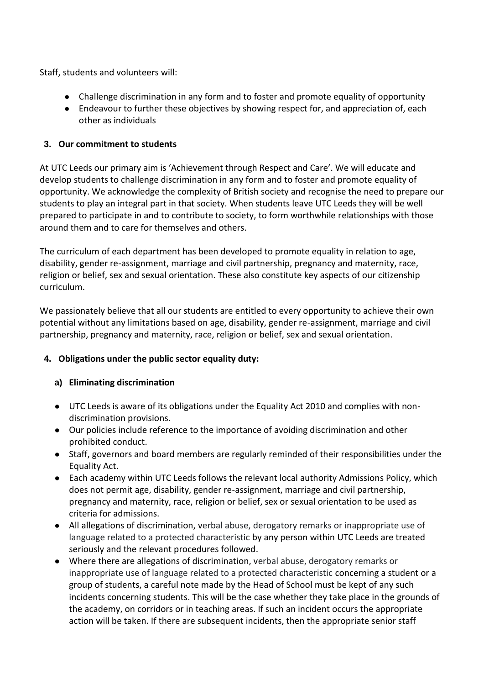Staff, students and volunteers will:

- Challenge discrimination in any form and to foster and promote equality of opportunity
- Endeavour to further these objectives by showing respect for, and appreciation of, each other as individuals

### **3. Our commitment to students**

At UTC Leeds our primary aim is 'Achievement through Respect and Care'. We will educate and develop students to challenge discrimination in any form and to foster and promote equality of opportunity. We acknowledge the complexity of British society and recognise the need to prepare our students to play an integral part in that society*.* When students leave UTC Leeds they will be well prepared to participate in and to contribute to society, to form worthwhile relationships with those around them and to care for themselves and others.

The curriculum of each department has been developed to promote equality in relation to age, disability, gender re-assignment, marriage and civil partnership, pregnancy and maternity, race, religion or belief, sex and sexual orientation. These also constitute key aspects of our citizenship curriculum.

We passionately believe that all our students are entitled to every opportunity to achieve their own potential without any limitations based on age, disability, gender re-assignment, marriage and civil partnership, pregnancy and maternity, race, religion or belief, sex and sexual orientation.

# **4. Obligations under the public sector equality duty:**

#### **a) Eliminating discrimination**

- UTC Leeds is aware of its obligations under the Equality Act 2010 and complies with nondiscrimination provisions.
- Our policies include reference to the importance of avoiding discrimination and other prohibited conduct.
- Staff, governors and board members are regularly reminded of their responsibilities under the Equality Act.
- Each academy within UTC Leeds follows the relevant local authority Admissions Policy, which does not permit age, disability, gender re-assignment, marriage and civil partnership, pregnancy and maternity, race, religion or belief, sex or sexual orientation to be used as criteria for admissions.
- All allegations of discrimination, verbal abuse, derogatory remarks or inappropriate use of language related to a protected characteristic by any person within UTC Leeds are treated seriously and the relevant procedures followed.
- Where there are allegations of discrimination, verbal abuse, derogatory remarks or inappropriate use of language related to a protected characteristic concerning a student or a group of students, a careful note made by the Head of School must be kept of any such incidents concerning students. This will be the case whether they take place in the grounds of the academy, on corridors or in teaching areas. If such an incident occurs the appropriate action will be taken. If there are subsequent incidents, then the appropriate senior staff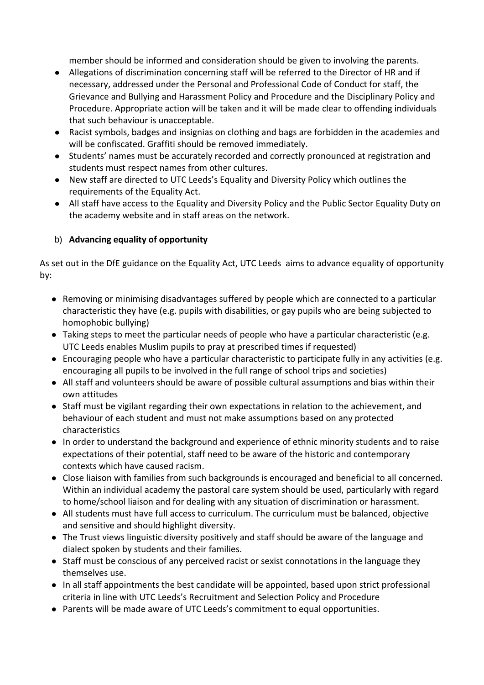member should be informed and consideration should be given to involving the parents.

- Allegations of discrimination concerning staff will be referred to the Director of HR and if necessary, addressed under the Personal and Professional Code of Conduct for staff, the Grievance and Bullying and Harassment Policy and Procedure and the Disciplinary Policy and Procedure. Appropriate action will be taken and it will be made clear to offending individuals that such behaviour is unacceptable.
- Racist symbols, badges and insignias on clothing and bags are forbidden in the academies and will be confiscated. Graffiti should be removed immediately.
- Students' names must be accurately recorded and correctly pronounced at registration and students must respect names from other cultures.
- New staff are directed to UTC Leeds's Equality and Diversity Policy which outlines the requirements of the Equality Act.
- All staff have access to the Equality and Diversity Policy and the Public Sector Equality Duty on the academy website and in staff areas on the network.

# b) **Advancing equality of opportunity**

As set out in the DfE guidance on the Equality Act, UTC Leeds aims to advance equality of opportunity by:

- Removing or minimising disadvantages suffered by people which are connected to a particular characteristic they have (e.g. pupils with disabilities, or gay pupils who are being subjected to homophobic bullying)
- Taking steps to meet the particular needs of people who have a particular characteristic (e.g. UTC Leeds enables Muslim pupils to pray at prescribed times if requested)
- Encouraging people who have a particular characteristic to participate fully in any activities (e.g. encouraging all pupils to be involved in the full range of school trips and societies)
- All staff and volunteers should be aware of possible cultural assumptions and bias within their own attitudes
- Staff must be vigilant regarding their own expectations in relation to the achievement, and behaviour of each student and must not make assumptions based on any protected characteristics
- In order to understand the background and experience of ethnic minority students and to raise expectations of their potential, staff need to be aware of the historic and contemporary contexts which have caused racism.
- Close liaison with families from such backgrounds is encouraged and beneficial to all concerned. Within an individual academy the pastoral care system should be used, particularly with regard to home/school liaison and for dealing with any situation of discrimination or harassment.
- All students must have full access to curriculum. The curriculum must be balanced, objective and sensitive and should highlight diversity.
- The Trust views linguistic diversity positively and staff should be aware of the language and dialect spoken by students and their families.
- Staff must be conscious of any perceived racist or sexist connotations in the language they themselves use.
- In all staff appointments the best candidate will be appointed, based upon strict professional criteria in line with UTC Leeds's Recruitment and Selection Policy and Procedure
- Parents will be made aware of UTC Leeds's commitment to equal opportunities.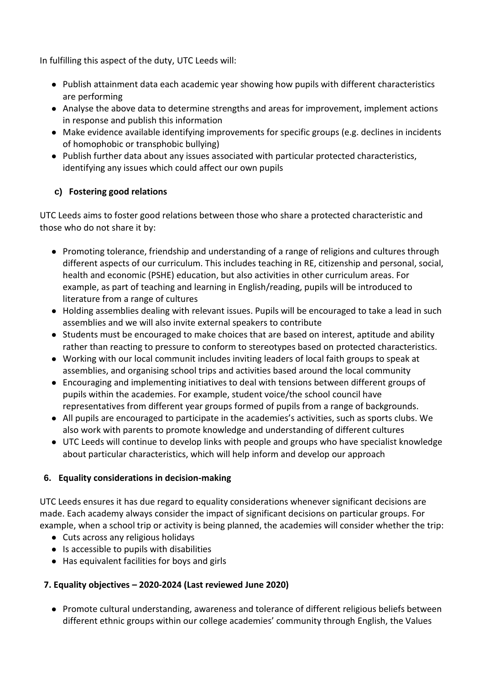In fulfilling this aspect of the duty, UTC Leeds will:

- Publish attainment data each academic year showing how pupils with different characteristics are performing
- Analyse the above data to determine strengths and areas for improvement, implement actions in response and publish this information
- Make evidence available identifying improvements for specific groups (e.g. declines in incidents of homophobic or transphobic bullying)
- Publish further data about any issues associated with particular protected characteristics, identifying any issues which could affect our own pupils

# **c) Fostering good relations**

UTC Leeds aims to foster good relations between those who share a protected characteristic and those who do not share it by:

- Promoting tolerance, friendship and understanding of a range of religions and cultures through different aspects of our curriculum. This includes teaching in RE, citizenship and personal, social, health and economic (PSHE) education, but also activities in other curriculum areas. For example, as part of teaching and learning in English/reading, pupils will be introduced to literature from a range of cultures
- Holding assemblies dealing with relevant issues. Pupils will be encouraged to take a lead in such assemblies and we will also invite external speakers to contribute
- Students must be encouraged to make choices that are based on interest, aptitude and ability rather than reacting to pressure to conform to stereotypes based on protected characteristics.
- Working with our local communit includes inviting leaders of local faith groups to speak at assemblies, and organising school trips and activities based around the local community
- Encouraging and implementing initiatives to deal with tensions between different groups of pupils within the academies. For example, student voice/the school council have representatives from different year groups formed of pupils from a range of backgrounds.
- All pupils are encouraged to participate in the academies's activities, such as sports clubs. We also work with parents to promote knowledge and understanding of different cultures
- UTC Leeds will continue to develop links with people and groups who have specialist knowledge about particular characteristics, which will help inform and develop our approach

# **6. Equality considerations in decision-making**

UTC Leeds ensures it has due regard to equality considerations whenever significant decisions are made. Each academy always consider the impact of significant decisions on particular groups. For example, when a school trip or activity is being planned, the academies will consider whether the trip:

- Cuts across any religious holidays
- Is accessible to pupils with disabilities
- Has equivalent facilities for boys and girls

# **7. Equality objectives – 2020-2024 (Last reviewed June 2020)**

● Promote cultural understanding, awareness and tolerance of different religious beliefs between different ethnic groups within our college academies' community through English, the Values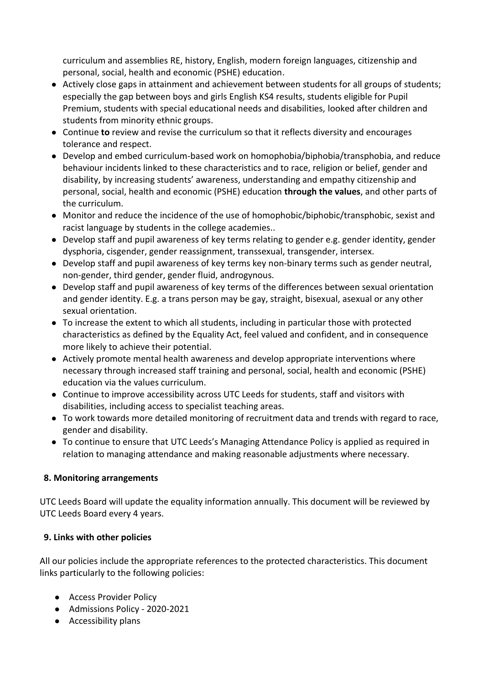curriculum and assemblies RE, history, English, modern foreign languages, citizenship and personal, social, health and economic (PSHE) education.

- Actively close gaps in attainment and achievement between students for all groups of students; especially the gap between boys and girls English KS4 results, students eligible for Pupil Premium, students with special educational needs and disabilities, looked after children and students from minority ethnic groups.
- Continue **to** review and revise the curriculum so that it reflects diversity and encourages tolerance and respect.
- Develop and embed curriculum-based work on homophobia/biphobia/transphobia, and reduce behaviour incidents linked to these characteristics and to race, religion or belief, gender and disability, by increasing students' awareness, understanding and empathy citizenship and personal, social, health and economic (PSHE) education **through the values**, and other parts of the curriculum.
- Monitor and reduce the incidence of the use of homophobic/biphobic/transphobic, sexist and racist language by students in the college academies..
- Develop staff and pupil awareness of key terms relating to gender e.g. gender identity, gender dysphoria, cisgender, gender reassignment, transsexual, transgender, intersex.
- Develop staff and pupil awareness of key terms key non-binary terms such as gender neutral, non-gender, third gender, gender fluid, androgynous.
- Develop staff and pupil awareness of key terms of the differences between sexual orientation and gender identity. E.g. a trans person may be gay, straight, bisexual, asexual or any other sexual orientation.
- To increase the extent to which all students, including in particular those with protected characteristics as defined by the Equality Act, feel valued and confident, and in consequence more likely to achieve their potential.
- Actively promote mental health awareness and develop appropriate interventions where necessary through increased staff training and personal, social, health and economic (PSHE) education via the values curriculum.
- Continue to improve accessibility across UTC Leeds for students, staff and visitors with disabilities, including access to specialist teaching areas.
- To work towards more detailed monitoring of recruitment data and trends with regard to race, gender and disability.
- To continue to ensure that UTC Leeds's Managing Attendance Policy is applied as required in relation to managing attendance and making reasonable adjustments where necessary.

# **8. Monitoring arrangements**

UTC Leeds Board will update the equality information annually. This document will be reviewed by UTC Leeds Board every 4 years.

#### **9. Links with other policies**

All our policies include the appropriate references to the protected characteristics. This document links particularly to the following policies:

- [Access Provider Policy](http://www.rodillianacademytrust.co.uk/wp-content/uploads/2019/09/Access-Provider-Policy-Rodillian-2019-2020.pdf)
- [Admissions Policy -](http://www.rodillianacademytrust.co.uk/wp-content/uploads/2019/04/Rodillian-Academy-Admissions-Policy-2020-21-final-version.pdf) 2020-2021
- Accessibility plans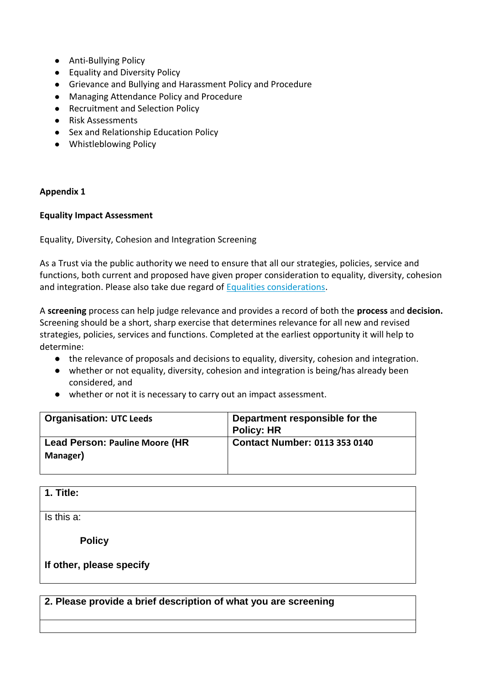- [Anti-Bullying Policy](http://www.rodillianacademytrust.co.uk/wp-content/uploads/2018/09/Antibullying-Policy-September-2018.pdf)
- Equality and Diversity Policy
- [Grievance and Bullying and Harassment Policy and Procedure](http://www.rodillianacademytrust.co.uk/wp-content/uploads/2019/11/Grievance-and-Bullying-and-Harrassment-Policy-and-Procedure-March-2018-amendment-Nov-2019.pdf)
- Managing Attendance Policy and Procedure
- Recruitment and Selection Policy
- Risk Assessments
- [Sex and](http://www.rodillianacademytrust.co.uk/wp-content/uploads/2018/03/Sex-and-Relationship-Education-Policy-March-2018-1.pdf) [Relationship Education Policy](http://www.rodillianacademytrust.co.uk/wp-content/uploads/2018/03/Sex-and-Relationship-Education-Policy-March-2018-1.pdf)
- [Whistleblowing Policy](http://www.rodillianacademytrust.co.uk/wp-content/uploads/2019/05/Whistleblowing-Policy-May-2019.pdf)

#### **Appendix 1**

#### **Equality Impact Assessment**

Equality, Diversity, Cohesion and Integration Screening

As a Trust via the public authority we need to ensure that all our strategies, policies, service and functions, both current and proposed have given proper consideration to equality, diversity, cohesion and integration. Please also take due regard of **Equalities considerations**.

A **screening** process can help judge relevance and provides a record of both the **process** and **decision.**  Screening should be a short, sharp exercise that determines relevance for all new and revised strategies, policies, services and functions. Completed at the earliest opportunity it will help to determine:

- the relevance of proposals and decisions to equality, diversity, cohesion and integration.
- whether or not equality, diversity, cohesion and integration is being/has already been considered, and
- whether or not it is necessary to carry out an impact assessment.

| <b>Organisation: UTC Leeds</b>                     | Department responsible for the<br><b>Policy: HR</b> |
|----------------------------------------------------|-----------------------------------------------------|
| <b>Lead Person: Pauline Moore (HR)</b><br>Manager) | <b>Contact Number: 0113 353 0140</b>                |

#### **1. Title:**

 $\overline{\mathsf{Is}}$  this a:

 **Policy** 

#### **If other, please specify**

**2. Please provide a brief description of what you are screening**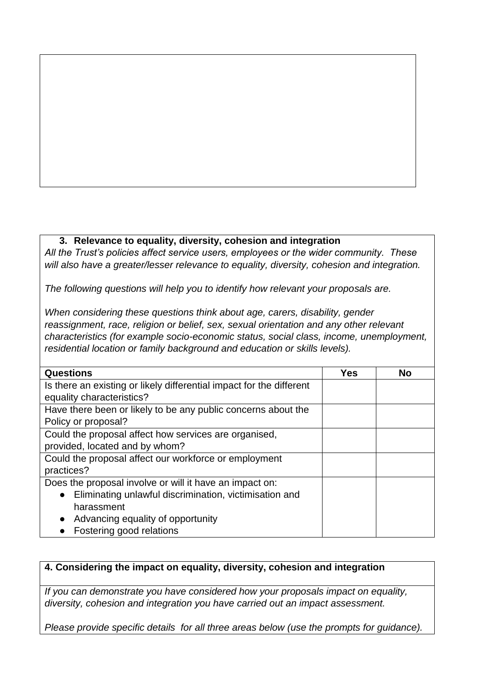# **3. Relevance to equality, diversity, cohesion and integration**

*All the Trust's policies affect service users, employees or the wider community. These will also have a greater/lesser relevance to equality, diversity, cohesion and integration.* 

*The following questions will help you to identify how relevant your proposals are.*

*When considering these questions think about age, carers, disability, gender reassignment, race, religion or belief, sex, sexual orientation and any other relevant characteristics (for example socio-economic status, social class, income, unemployment, residential location or family background and education or skills levels).*

| <b>Questions</b>                                                     | <b>Yes</b> | <b>No</b> |
|----------------------------------------------------------------------|------------|-----------|
| Is there an existing or likely differential impact for the different |            |           |
| equality characteristics?                                            |            |           |
| Have there been or likely to be any public concerns about the        |            |           |
| Policy or proposal?                                                  |            |           |
| Could the proposal affect how services are organised,                |            |           |
| provided, located and by whom?                                       |            |           |
| Could the proposal affect our workforce or employment                |            |           |
| practices?                                                           |            |           |
| Does the proposal involve or will it have an impact on:              |            |           |
| Eliminating unlawful discrimination, victimisation and               |            |           |
| harassment                                                           |            |           |
| Advancing equality of opportunity<br>$\bullet$                       |            |           |
| Fostering good relations                                             |            |           |

# **4. Considering the impact on equality, diversity, cohesion and integration**

*If you can demonstrate you have considered how your proposals impact on equality, diversity, cohesion and integration you have carried out an impact assessment.* 

*Please provide specific details for all three areas below (use the prompts for guidance).*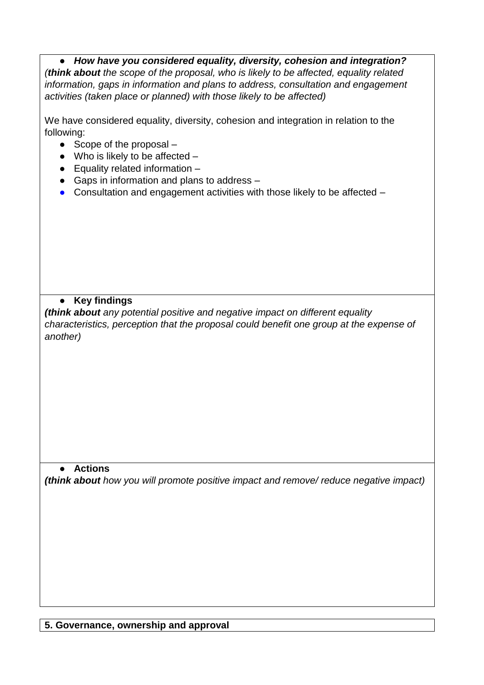● *How have you considered equality, diversity, cohesion and integration? (think about the scope of the proposal, who is likely to be affected, equality related information, gaps in information and plans to address, consultation and engagement activities (taken place or planned) with those likely to be affected)*

We have considered equality, diversity, cohesion and integration in relation to the following:

- $\bullet$  Scope of the proposal  $-$
- $\bullet$  Who is likely to be affected  $-$
- Equality related information –
- Gaps in information and plans to address –
- Consultation and engagement activities with those likely to be affected –

# ● **Key findings**

*(think about any potential positive and negative impact on different equality characteristics, perception that the proposal could benefit one group at the expense of another)*

# ● **Actions**

*(think about how you will promote positive impact and remove/ reduce negative impact)*